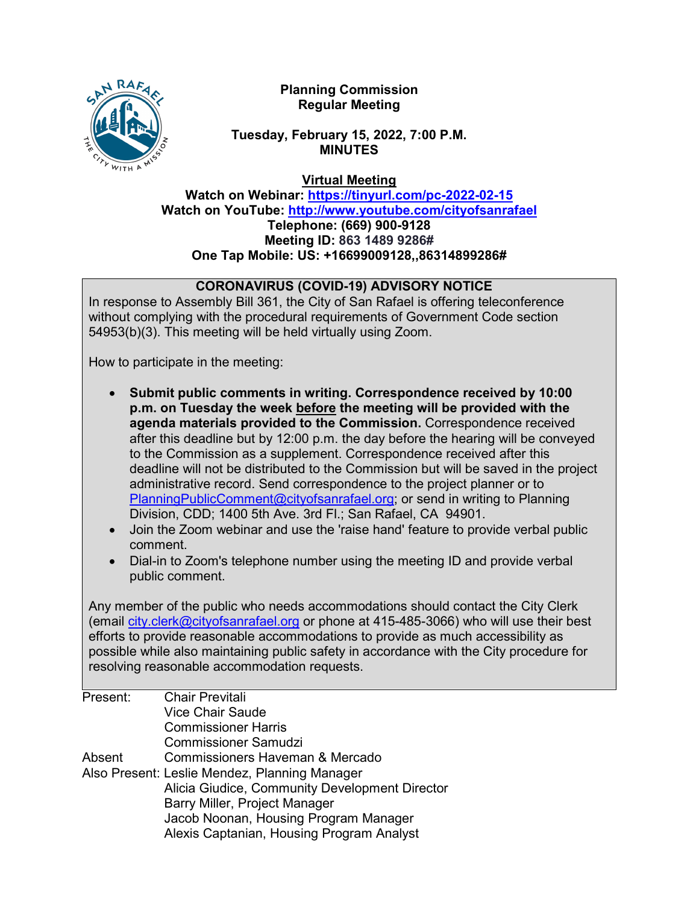

# **Planning Commission Regular Meeting**

# **Tuesday, February 15, 2022, 7:00 P.M. MINUTES**

**Virtual Meeting**

**Watch on Webinar: https://tinyurl.com/pc-2022-02-15 Watch on YouTube:<http://www.youtube.com/cityofsanrafael> Telephone: (669) 900-9128 Meeting ID: 863 1489 9286# One Tap Mobile: US: +16699009128,,86314899286#**

# **CORONAVIRUS (COVID-19) ADVISORY NOTICE**

In response to Assembly Bill 361, the City of San Rafael is offering teleconference without complying with the procedural requirements of Government Code section 54953(b)(3). This meeting will be held virtually using Zoom.

How to participate in the meeting:

- **Submit public comments in writing. Correspondence received by 10:00 p.m. on Tuesday the week before the meeting will be provided with the agenda materials provided to the Commission.** Correspondence received after this deadline but by 12:00 p.m. the day before the hearing will be conveyed to the Commission as a supplement. Correspondence received after this deadline will not be distributed to the Commission but will be saved in the project administrative record. Send correspondence to the project planner or to [PlanningPublicComment@cityofsanrafael.org;](mailto:PlanningPublicComment@cityofsanrafael.org) or send in writing to Planning Division, CDD; 1400 5th Ave. 3rd Fl.; San Rafael, CA 94901.
- Join the Zoom webinar and use the 'raise hand' feature to provide verbal public comment.
- Dial-in to Zoom's telephone number using the meeting ID and provide verbal public comment.

Any member of the public who needs accommodations should contact the City Clerk (email [city.clerk@cityofsanrafael.org](mailto:city.clerk@cityofsanrafael.org) or phone at 415-485-3066) who will use their best efforts to provide reasonable accommodations to provide as much accessibility as possible while also maintaining public safety in accordance with the City procedure for resolving reasonable accommodation requests.

| Present: | <b>Chair Previtali</b>                         |
|----------|------------------------------------------------|
|          | <b>Vice Chair Saude</b>                        |
|          | <b>Commissioner Harris</b>                     |
|          | <b>Commissioner Samudzi</b>                    |
| Absent   | Commissioners Haveman & Mercado                |
|          | Also Present: Leslie Mendez, Planning Manager  |
|          | Alicia Giudice, Community Development Director |
|          | Barry Miller, Project Manager                  |
|          | Jacob Noonan, Housing Program Manager          |
|          | Alexis Captanian, Housing Program Analyst      |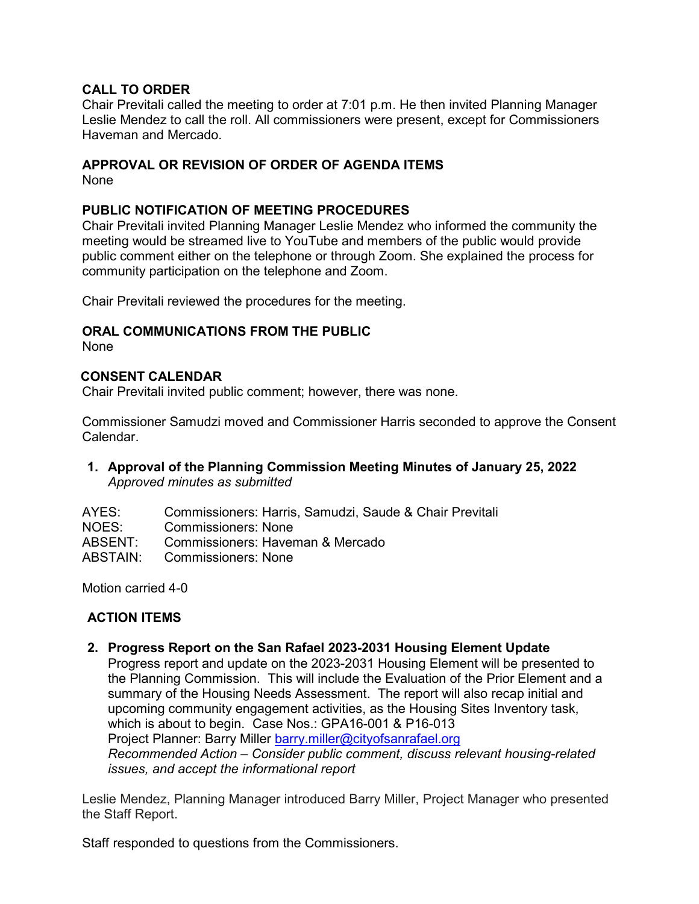#### **CALL TO ORDER**

Chair Previtali called the meeting to order at 7:01 p.m. He then invited Planning Manager Leslie Mendez to call the roll. All commissioners were present, except for Commissioners Haveman and Mercado.

## **APPROVAL OR REVISION OF ORDER OF AGENDA ITEMS**

None

## **PUBLIC NOTIFICATION OF MEETING PROCEDURES**

Chair Previtali invited Planning Manager Leslie Mendez who informed the community the meeting would be streamed live to YouTube and members of the public would provide public comment either on the telephone or through Zoom. She explained the process for community participation on the telephone and Zoom.

Chair Previtali reviewed the procedures for the meeting.

#### **ORAL COMMUNICATIONS FROM THE PUBLIC**

None

## **CONSENT CALENDAR**

Chair Previtali invited public comment; however, there was none.

Commissioner Samudzi moved and Commissioner Harris seconded to approve the Consent Calendar.

#### **1. Approval of the Planning Commission Meeting Minutes of January 25, 2022** *Approved minutes as submitted*

| Commissioners: Harris, Samudzi, Saude & Chair Previtali |
|---------------------------------------------------------|
|                                                         |
|                                                         |
|                                                         |
|                                                         |

Motion carried 4-0

# **ACTION ITEMS**

**2. Progress Report on the San Rafael 2023-2031 Housing Element Update**

Progress report and update on the 2023-2031 Housing Element will be presented to the Planning Commission. This will include the Evaluation of the Prior Element and a summary of the Housing Needs Assessment. The report will also recap initial and upcoming community engagement activities, as the Housing Sites Inventory task, which is about to begin. Case Nos.: GPA16-001 & P16-013 Project Planner: Barry Miller [barry.miller@cityofsanrafael.org](mailto:barry.miller@cityofsanrafael.org) *Recommended Action – Consider public comment, discuss relevant housing-related issues, and accept the informational report*

Leslie Mendez, Planning Manager introduced Barry Miller, Project Manager who presented the Staff Report.

Staff responded to questions from the Commissioners.